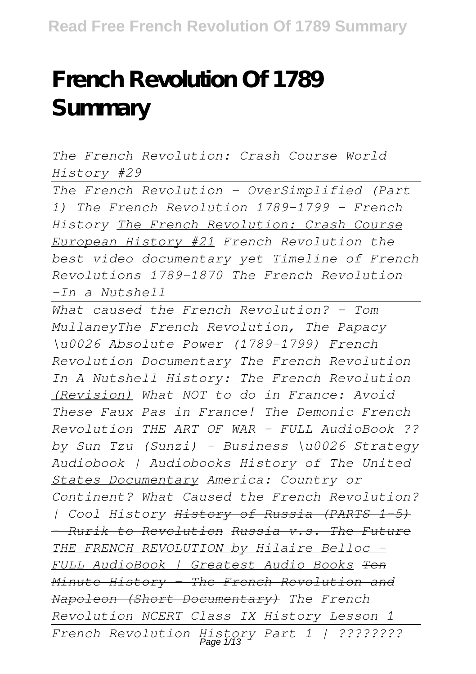# **French Revolution Of 1789 Summary**

*The French Revolution: Crash Course World History #29*

*The French Revolution - OverSimplified (Part 1) The French Revolution 1789-1799 - French History The French Revolution: Crash Course European History #21 French Revolution the best video documentary yet Timeline of French Revolutions 1789-1870 The French Revolution -In a Nutshell* 

*What caused the French Revolution? - Tom MullaneyThe French Revolution, The Papacy \u0026 Absolute Power (1789-1799) French Revolution Documentary The French Revolution In A Nutshell History: The French Revolution (Revision) What NOT to do in France: Avoid These Faux Pas in France! The Demonic French Revolution THE ART OF WAR - FULL AudioBook ?? by Sun Tzu (Sunzi) - Business \u0026 Strategy Audiobook | Audiobooks History of The United States Documentary America: Country or Continent? What Caused the French Revolution? | Cool History History of Russia (PARTS 1-5) - Rurik to Revolution Russia v.s. The Future THE FRENCH REVOLUTION by Hilaire Belloc - FULL AudioBook | Greatest Audio Books Ten Minute History - The French Revolution and Napoleon (Short Documentary) The French Revolution NCERT Class IX History Lesson 1 French Revolution History Part 1 | ????????* Page 1/13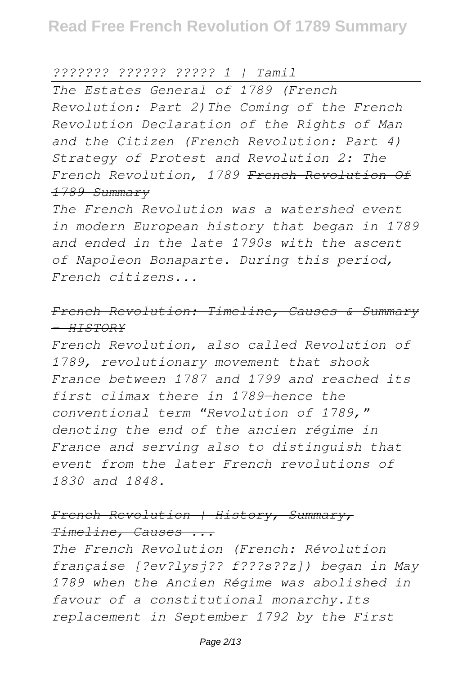*??????? ?????? ????? 1 | Tamil*

*The Estates General of 1789 (French Revolution: Part 2)The Coming of the French Revolution Declaration of the Rights of Man and the Citizen (French Revolution: Part 4) Strategy of Protest and Revolution 2: The French Revolution, 1789 French Revolution Of 1789 Summary*

*The French Revolution was a watershed event in modern European history that began in 1789 and ended in the late 1790s with the ascent of Napoleon Bonaparte. During this period, French citizens...*

# *French Revolution: Timeline, Causes & Summary - HISTORY*

*French Revolution, also called Revolution of 1789, revolutionary movement that shook France between 1787 and 1799 and reached its first climax there in 1789—hence the conventional term "Revolution of 1789," denoting the end of the ancien régime in France and serving also to distinguish that event from the later French revolutions of 1830 and 1848.*

# *French Revolution | History, Summary, Timeline, Causes ...*

*The French Revolution (French: Révolution française [?ev?lysj?? f???s??z]) began in May 1789 when the Ancien Régime was abolished in favour of a constitutional monarchy.Its replacement in September 1792 by the First*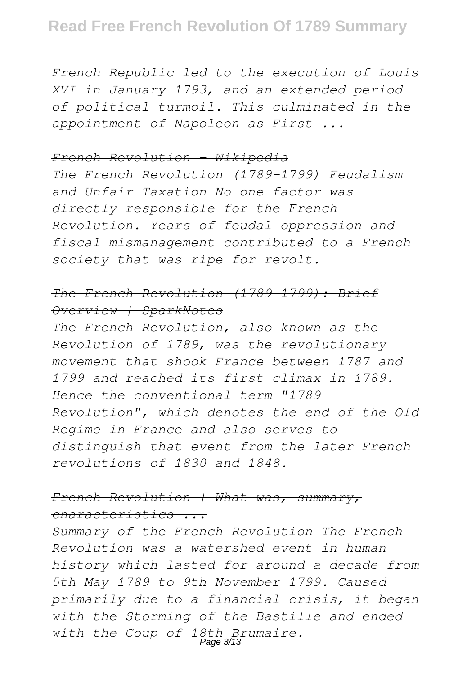*French Republic led to the execution of Louis XVI in January 1793, and an extended period of political turmoil. This culminated in the appointment of Napoleon as First ...*

#### *French Revolution - Wikipedia*

*The French Revolution (1789–1799) Feudalism and Unfair Taxation No one factor was directly responsible for the French Revolution. Years of feudal oppression and fiscal mismanagement contributed to a French society that was ripe for revolt.*

# *The French Revolution (1789–1799): Brief Overview | SparkNotes*

*The French Revolution, also known as the Revolution of 1789, was the revolutionary movement that shook France between 1787 and 1799 and reached its first climax in 1789. Hence the conventional term "1789 Revolution", which denotes the end of the Old Regime in France and also serves to distinguish that event from the later French revolutions of 1830 and 1848.*

# *French Revolution | What was, summary, characteristics ...*

*Summary of the French Revolution The French Revolution was a watershed event in human history which lasted for around a decade from 5th May 1789 to 9th November 1799. Caused primarily due to a financial crisis, it began with the Storming of the Bastille and ended with the Coup of 18th Brumaire.* Page 3/13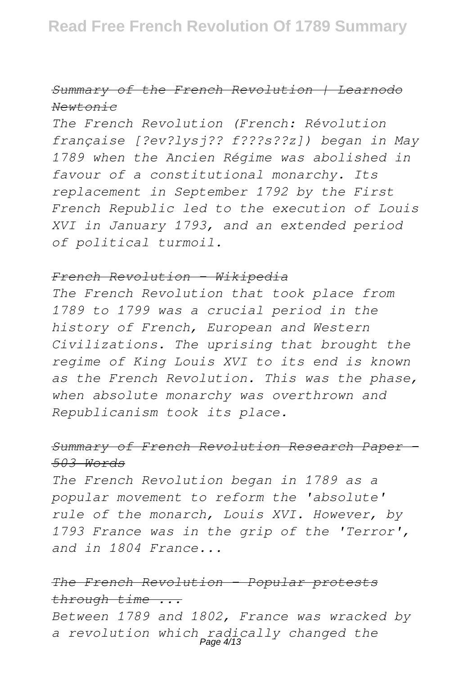# *Summary of the French Revolution | Learnodo Newtonic*

*The French Revolution (French: Révolution française [?ev?lysj?? f???s??z]) began in May 1789 when the Ancien Régime was abolished in favour of a constitutional monarchy. Its replacement in September 1792 by the First French Republic led to the execution of Louis XVI in January 1793, and an extended period of political turmoil.*

#### *French Revolution - Wikipedia*

*The French Revolution that took place from 1789 to 1799 was a crucial period in the history of French, European and Western Civilizations. The uprising that brought the regime of King Louis XVI to its end is known as the French Revolution. This was the phase, when absolute monarchy was overthrown and Republicanism took its place.*

# *Summary of French Revolution Research Paper - 503 Words*

*The French Revolution began in 1789 as a popular movement to reform the 'absolute' rule of the monarch, Louis XVI. However, by 1793 France was in the grip of the 'Terror', and in 1804 France...*

# *The French Revolution - Popular protests through time ...*

*Between 1789 and 1802, France was wracked by a revolution which radically changed the* Page 4/13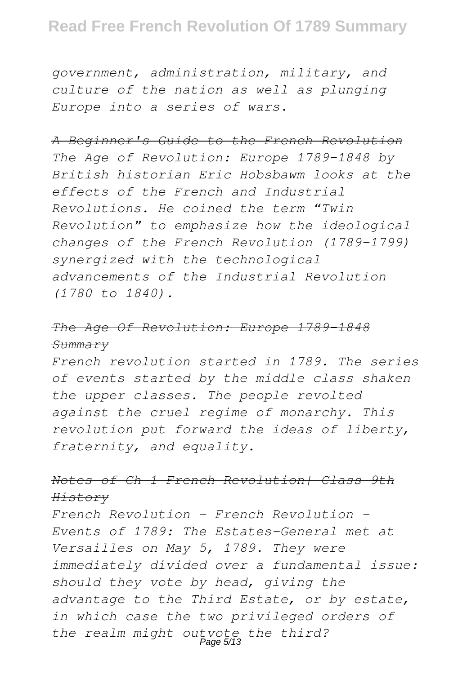*government, administration, military, and culture of the nation as well as plunging Europe into a series of wars.*

#### *A Beginner's Guide to the French Revolution*

*The Age of Revolution: Europe 1789-1848 by British historian Eric Hobsbawm looks at the effects of the French and Industrial Revolutions. He coined the term "Twin Revolution" to emphasize how the ideological changes of the French Revolution (1789-1799) synergized with the technological advancements of the Industrial Revolution (1780 to 1840).*

#### *The Age Of Revolution: Europe 1789-1848 Summary*

*French revolution started in 1789. The series of events started by the middle class shaken the upper classes. The people revolted against the cruel regime of monarchy. This revolution put forward the ideas of liberty, fraternity, and equality.*

# *Notes of Ch 1 French Revolution| Class 9th History*

*French Revolution - French Revolution - Events of 1789: The Estates-General met at Versailles on May 5, 1789. They were immediately divided over a fundamental issue: should they vote by head, giving the advantage to the Third Estate, or by estate, in which case the two privileged orders of the realm might outvote the third?* Page 5/13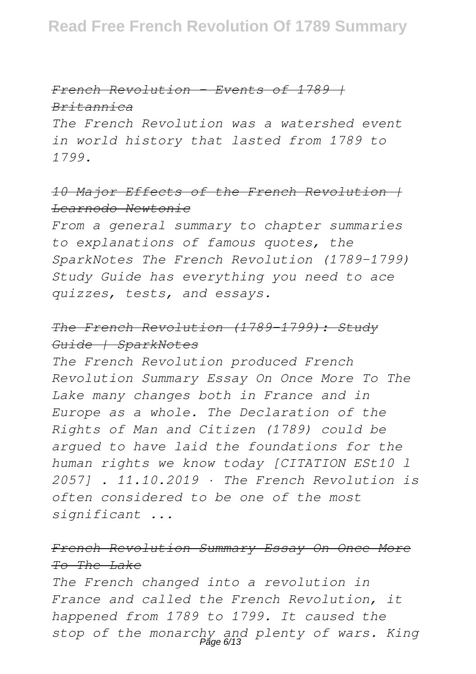# *French Revolution - Events of 1789 | Britannica*

*The French Revolution was a watershed event in world history that lasted from 1789 to 1799.*

# *10 Major Effects of the French Revolution | Learnodo Newtonic*

*From a general summary to chapter summaries to explanations of famous quotes, the SparkNotes The French Revolution (1789–1799) Study Guide has everything you need to ace quizzes, tests, and essays.*

# *The French Revolution (1789–1799): Study Guide | SparkNotes*

*The French Revolution produced French Revolution Summary Essay On Once More To The Lake many changes both in France and in Europe as a whole. The Declaration of the Rights of Man and Citizen (1789) could be argued to have laid the foundations for the human rights we know today [CITATION ESt10 l 2057] . 11.10.2019 · The French Revolution is often considered to be one of the most significant ...*

# *French Revolution Summary Essay On Once More To The Lake*

*The French changed into a revolution in France and called the French Revolution, it happened from 1789 to 1799. It caused the* stop of the monarchy and plenty of wars. King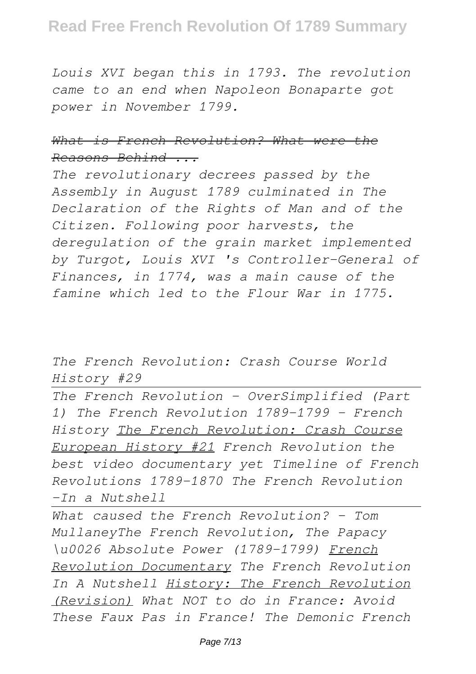# **Read Free French Revolution Of 1789 Summary**

*Louis XVI began this in 1793. The revolution came to an end when Napoleon Bonaparte got power in November 1799.*

# *What is French Revolution? What were the Reasons Behind ...*

*The revolutionary decrees passed by the Assembly in August 1789 culminated in The Declaration of the Rights of Man and of the Citizen. Following poor harvests, the deregulation of the grain market implemented by Turgot, Louis XVI 's Controller-General of Finances, in 1774, was a main cause of the famine which led to the Flour War in 1775.*

*The French Revolution: Crash Course World History #29*

*The French Revolution - OverSimplified (Part 1) The French Revolution 1789-1799 - French History The French Revolution: Crash Course European History #21 French Revolution the best video documentary yet Timeline of French Revolutions 1789-1870 The French Revolution -In a Nutshell* 

*What caused the French Revolution? - Tom MullaneyThe French Revolution, The Papacy \u0026 Absolute Power (1789-1799) French Revolution Documentary The French Revolution In A Nutshell History: The French Revolution (Revision) What NOT to do in France: Avoid These Faux Pas in France! The Demonic French*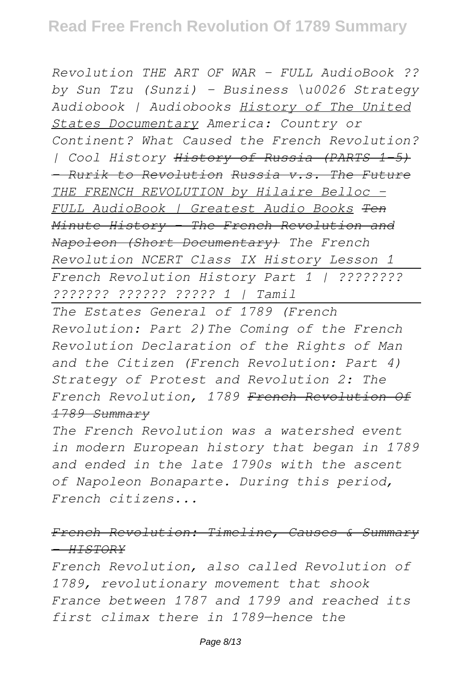*Revolution THE ART OF WAR - FULL AudioBook ?? by Sun Tzu (Sunzi) - Business \u0026 Strategy Audiobook | Audiobooks History of The United States Documentary America: Country or Continent? What Caused the French Revolution? | Cool History History of Russia (PARTS 1-5) - Rurik to Revolution Russia v.s. The Future THE FRENCH REVOLUTION by Hilaire Belloc - FULL AudioBook | Greatest Audio Books Ten Minute History - The French Revolution and Napoleon (Short Documentary) The French Revolution NCERT Class IX History Lesson 1 French Revolution History Part 1 | ???????? ??????? ?????? ????? 1 | Tamil*

*The Estates General of 1789 (French Revolution: Part 2)The Coming of the French Revolution Declaration of the Rights of Man and the Citizen (French Revolution: Part 4) Strategy of Protest and Revolution 2: The French Revolution, 1789 French Revolution Of 1789 Summary*

*The French Revolution was a watershed event in modern European history that began in 1789 and ended in the late 1790s with the ascent of Napoleon Bonaparte. During this period, French citizens...*

*French Revolution: Timeline, Causes & Summary - HISTORY*

*French Revolution, also called Revolution of 1789, revolutionary movement that shook France between 1787 and 1799 and reached its first climax there in 1789—hence the*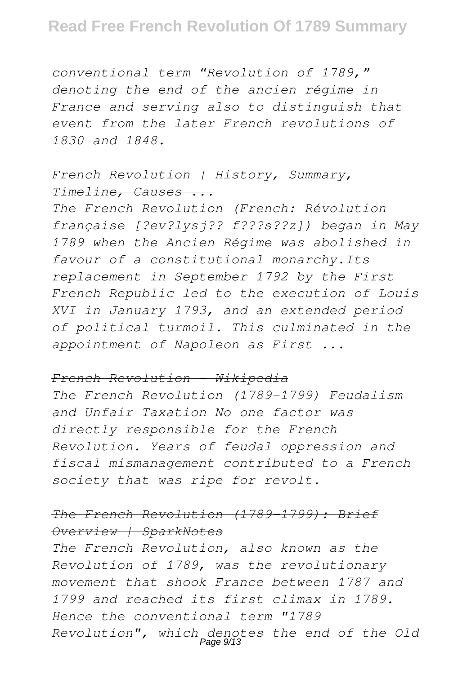*conventional term "Revolution of 1789," denoting the end of the ancien régime in France and serving also to distinguish that event from the later French revolutions of 1830 and 1848.*

# *French Revolution | History, Summary, Timeline, Causes ...*

*The French Revolution (French: Révolution française [?ev?lysj?? f???s??z]) began in May 1789 when the Ancien Régime was abolished in favour of a constitutional monarchy.Its replacement in September 1792 by the First French Republic led to the execution of Louis XVI in January 1793, and an extended period of political turmoil. This culminated in the appointment of Napoleon as First ...*

#### *French Revolution - Wikipedia*

*The French Revolution (1789–1799) Feudalism and Unfair Taxation No one factor was directly responsible for the French Revolution. Years of feudal oppression and fiscal mismanagement contributed to a French society that was ripe for revolt.*

# *The French Revolution (1789–1799): Brief Overview | SparkNotes*

*The French Revolution, also known as the Revolution of 1789, was the revolutionary movement that shook France between 1787 and 1799 and reached its first climax in 1789. Hence the conventional term "1789 Revolution", which denotes the end of the Old* Page 9/13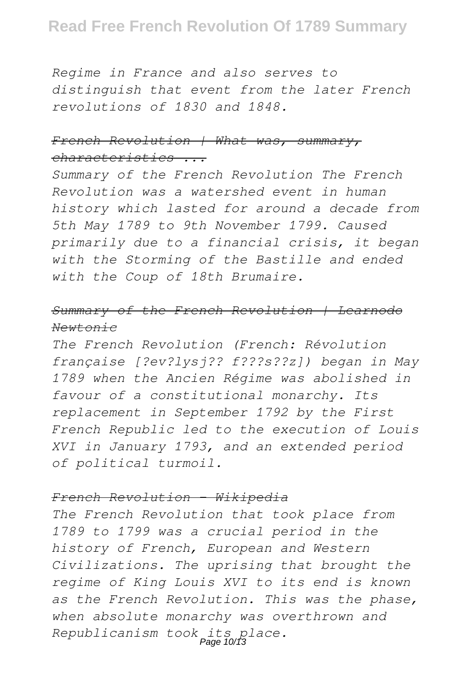# **Read Free French Revolution Of 1789 Summary**

*Regime in France and also serves to distinguish that event from the later French revolutions of 1830 and 1848.*

# *French Revolution | What was, summary, characteristics ...*

*Summary of the French Revolution The French Revolution was a watershed event in human history which lasted for around a decade from 5th May 1789 to 9th November 1799. Caused primarily due to a financial crisis, it began with the Storming of the Bastille and ended with the Coup of 18th Brumaire.*

# *Summary of the French Revolution | Learnodo Newtonic*

*The French Revolution (French: Révolution française [?ev?lysj?? f???s??z]) began in May 1789 when the Ancien Régime was abolished in favour of a constitutional monarchy. Its replacement in September 1792 by the First French Republic led to the execution of Louis XVI in January 1793, and an extended period of political turmoil.*

#### *French Revolution - Wikipedia*

*The French Revolution that took place from 1789 to 1799 was a crucial period in the history of French, European and Western Civilizations. The uprising that brought the regime of King Louis XVI to its end is known as the French Revolution. This was the phase, when absolute monarchy was overthrown and Republicanism took its place.* Page 10/13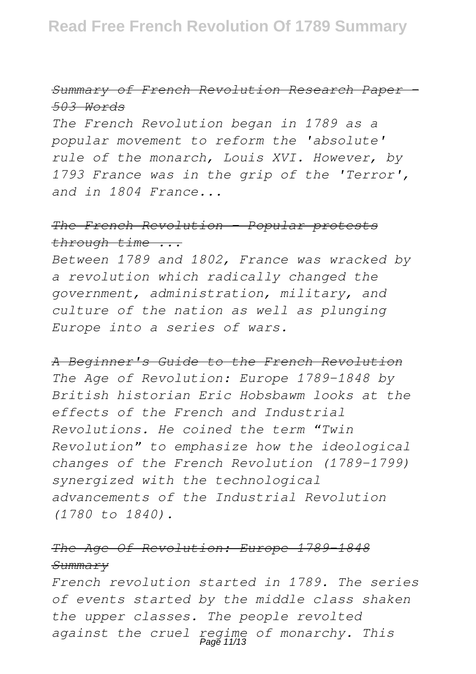# *Summary of French Revolution Research Paper - 503 Words*

*The French Revolution began in 1789 as a popular movement to reform the 'absolute' rule of the monarch, Louis XVI. However, by 1793 France was in the grip of the 'Terror', and in 1804 France...*

#### *The French Revolution - Popular protests through time ...*

*Between 1789 and 1802, France was wracked by a revolution which radically changed the government, administration, military, and culture of the nation as well as plunging Europe into a series of wars.*

*A Beginner's Guide to the French Revolution The Age of Revolution: Europe 1789-1848 by British historian Eric Hobsbawm looks at the effects of the French and Industrial Revolutions. He coined the term "Twin Revolution" to emphasize how the ideological changes of the French Revolution (1789-1799) synergized with the technological advancements of the Industrial Revolution (1780 to 1840).*

# *The Age Of Revolution: Europe 1789-1848 Summary*

*French revolution started in 1789. The series of events started by the middle class shaken the upper classes. The people revolted against the cruel regime of monarchy. This* Page 11/13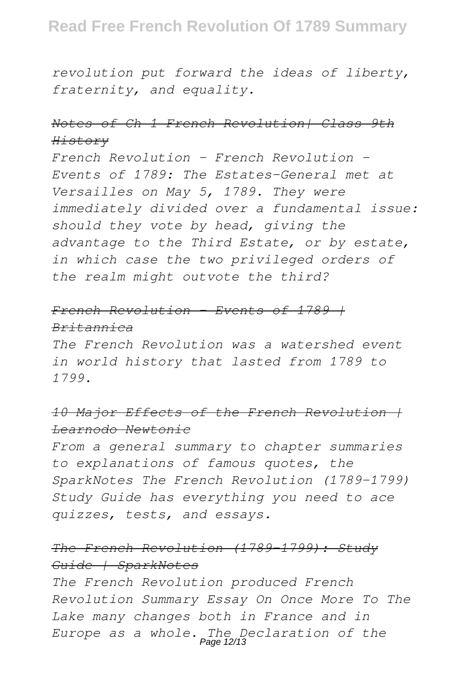*revolution put forward the ideas of liberty, fraternity, and equality.*

# *Notes of Ch 1 French Revolution| Class 9th History*

*French Revolution - French Revolution - Events of 1789: The Estates-General met at Versailles on May 5, 1789. They were immediately divided over a fundamental issue: should they vote by head, giving the advantage to the Third Estate, or by estate, in which case the two privileged orders of the realm might outvote the third?*

# *French Revolution - Events of 1789 | Britannica*

*The French Revolution was a watershed event in world history that lasted from 1789 to 1799.*

# *10 Major Effects of the French Revolution | Learnodo Newtonic*

*From a general summary to chapter summaries to explanations of famous quotes, the SparkNotes The French Revolution (1789–1799) Study Guide has everything you need to ace quizzes, tests, and essays.*

# *The French Revolution (1789–1799): Study Guide | SparkNotes*

*The French Revolution produced French Revolution Summary Essay On Once More To The Lake many changes both in France and in Europe as a whole. The Declaration of the* Page 12/13